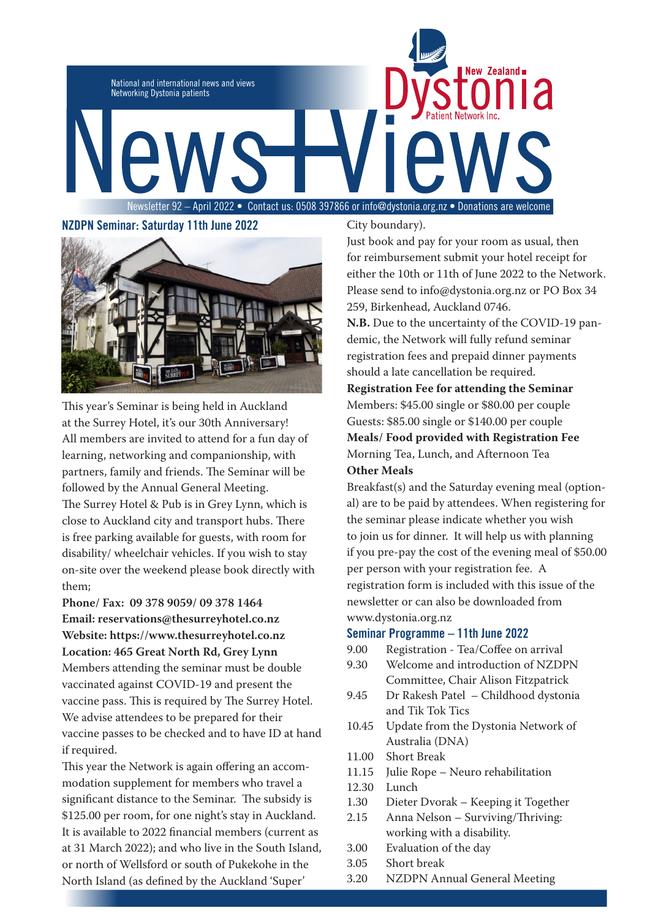

# **NZDPN Seminar: Saturday 11th June 2022**



This year's Seminar is being held in Auckland at the Surrey Hotel, it's our 30th Anniversary! All members are invited to attend for a fun day of learning, networking and companionship, with partners, family and friends. The Seminar will be followed by the Annual General Meeting. The Surrey Hotel & Pub is in Grey Lynn, which is close to Auckland city and transport hubs. There is free parking available for guests, with room for disability/ wheelchair vehicles. If you wish to stay on-site over the weekend please book directly with them;

**Phone/ Fax: 09 378 9059/ 09 378 1464 Email: reservations@thesurreyhotel.co.nz Website: https://www.thesurreyhotel.co.nz Location: 465 Great North Rd, Grey Lynn** Members attending the seminar must be double vaccinated against COVID-19 and present the vaccine pass. This is required by The Surrey Hotel. We advise attendees to be prepared for their vaccine passes to be checked and to have ID at hand if required.

This year the Network is again offering an accommodation supplement for members who travel a significant distance to the Seminar. The subsidy is \$125.00 per room, for one night's stay in Auckland. It is available to 2022 financial members (current as at 31 March 2022); and who live in the South Island, or north of Wellsford or south of Pukekohe in the North Island (as defined by the Auckland 'Super'

City boundary).

Just book and pay for your room as usual, then for reimbursement submit your hotel receipt for either the 10th or 11th of June 2022 to the Network. Please send to info@dystonia.org.nz or PO Box 34 259, Birkenhead, Auckland 0746.

**N.B.** Due to the uncertainty of the COVID-19 pandemic, the Network will fully refund seminar registration fees and prepaid dinner payments should a late cancellation be required.

**Registration Fee for attending the Seminar** Members: \$45.00 single or \$80.00 per couple Guests: \$85.00 single or \$140.00 per couple **Meals/ Food provided with Registration Fee** Morning Tea, Lunch, and Afternoon Tea **Other Meals**

Breakfast(s) and the Saturday evening meal (optional) are to be paid by attendees. When registering for the seminar please indicate whether you wish to join us for dinner. It will help us with planning if you pre-pay the cost of the evening meal of \$50.00 per person with your registration fee. A registration form is included with this issue of the newsletter or can also be downloaded from www.dystonia.org.nz

### **Seminar Programme – 11th June 2022**

- 9.00 Registration Tea/Coffee on arrival
- 9.30 Welcome and introduction of NZDPN Committee, Chair Alison Fitzpatrick
- 9.45 Dr Rakesh Patel Childhood dystonia and Tik Tok Tics
- 10.45 Update from the Dystonia Network of Australia (DNA)
- 11.00 Short Break
- 11.15 Julie Rope Neuro rehabilitation
- 12.30 Lunch
- 1.30 Dieter Dvorak Keeping it Together
- 2.15 Anna Nelson Surviving/Thriving: working with a disability.
- 3.00 Evaluation of the day
- 3.05 Short break
- 3.20 NZDPN Annual General Meeting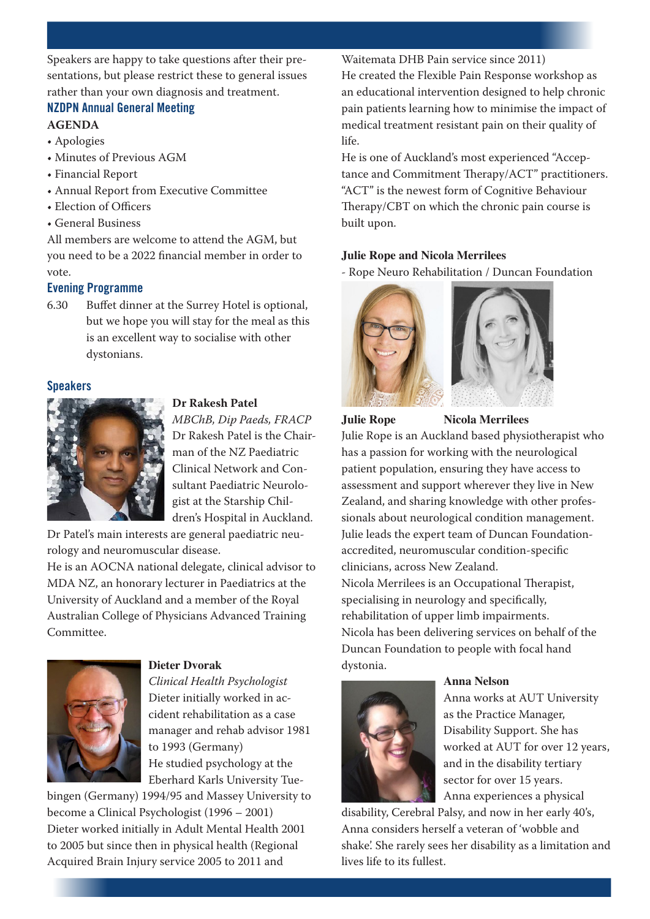Speakers are happy to take questions after their presentations, but please restrict these to general issues rather than your own diagnosis and treatment.

# **NZDPN Annual General Meeting**

## **AGENDA**

- Apologies
- Minutes of Previous AGM
- Financial Report
- Annual Report from Executive Committee
- Election of Officers
- General Business

All members are welcome to attend the AGM, but you need to be a 2022 financial member in order to vote.

# **Evening Programme**

6.30 Buffet dinner at the Surrey Hotel is optional, but we hope you will stay for the meal as this is an excellent way to socialise with other dystonians.

# **Speakers**

# **Dr Rakesh Patel**

*MBChB, Dip Paeds, FRACP* Dr Rakesh Patel is the Chairman of the NZ Paediatric Clinical Network and Consultant Paediatric Neurologist at the Starship Children's Hospital in Auckland.

Dr Patel's main interests are general paediatric neurology and neuromuscular disease.

He is an AOCNA national delegate, clinical advisor to MDA NZ, an honorary lecturer in Paediatrics at the University of Auckland and a member of the Royal Australian College of Physicians Advanced Training Committee.



# **Dieter Dvorak**

*Clinical Health Psychologist* Dieter initially worked in accident rehabilitation as a case manager and rehab advisor 1981 to 1993 (Germany) He studied psychology at the Eberhard Karls University Tue-

bingen (Germany) 1994/95 and Massey University to become a Clinical Psychologist (1996 – 2001) Dieter worked initially in Adult Mental Health 2001 to 2005 but since then in physical health (Regional Acquired Brain Injury service 2005 to 2011 and

Waitemata DHB Pain service since 2011) He created the Flexible Pain Response workshop as an educational intervention designed to help chronic pain patients learning how to minimise the impact of medical treatment resistant pain on their quality of life.

He is one of Auckland's most experienced "Acceptance and Commitment Therapy/ACT" practitioners. "ACT" is the newest form of Cognitive Behaviour Therapy/CBT on which the chronic pain course is built upon.

# **Julie Rope and Nicola Merrilees**

- Rope Neuro Rehabilitation / Duncan Foundation



**Julie Rope Nicola Merrilees** 

Julie Rope is an Auckland based physiotherapist who has a passion for working with the neurological patient population, ensuring they have access to assessment and support wherever they live in New Zealand, and sharing knowledge with other professionals about neurological condition management. Julie leads the expert team of Duncan Foundationaccredited, neuromuscular condition-specific clinicians, across New Zealand. Nicola Merrilees is an Occupational Therapist, specialising in neurology and specifically, rehabilitation of upper limb impairments. Nicola has been delivering services on behalf of the Duncan Foundation to people with focal hand dystonia.



### **Anna Nelson**

Anna works at AUT University as the Practice Manager, Disability Support. She has worked at AUT for over 12 years, and in the disability tertiary sector for over 15 years. Anna experiences a physical

disability, Cerebral Palsy, and now in her early 40's, Anna considers herself a veteran of 'wobble and shake'. She rarely sees her disability as a limitation and lives life to its fullest.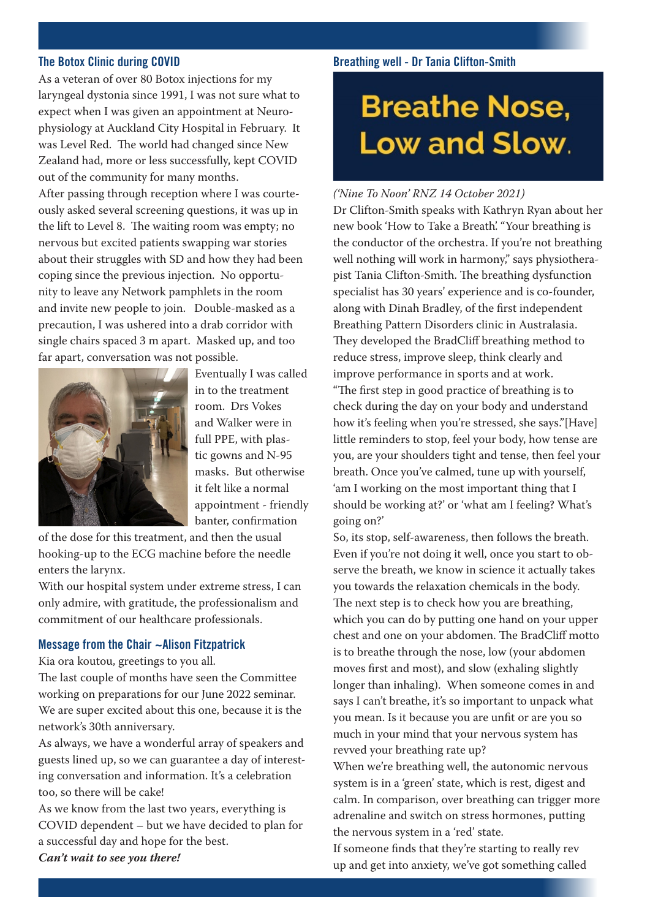### **The Botox Clinic during COVID**

As a veteran of over 80 Botox injections for my laryngeal dystonia since 1991, I was not sure what to expect when I was given an appointment at Neurophysiology at Auckland City Hospital in February. It was Level Red. The world had changed since New Zealand had, more or less successfully, kept COVID out of the community for many months. After passing through reception where I was courte-

ously asked several screening questions, it was up in the lift to Level 8. The waiting room was empty; no nervous but excited patients swapping war stories about their struggles with SD and how they had been coping since the previous injection. No opportunity to leave any Network pamphlets in the room and invite new people to join. Double-masked as a precaution, I was ushered into a drab corridor with single chairs spaced 3 m apart. Masked up, and too far apart, conversation was not possible.



Eventually I was called in to the treatment room. Drs Vokes and Walker were in full PPE, with plastic gowns and N-95 masks. But otherwise it felt like a normal appointment - friendly banter, confirmation

of the dose for this treatment, and then the usual hooking-up to the ECG machine before the needle enters the larynx.

With our hospital system under extreme stress, I can only admire, with gratitude, the professionalism and commitment of our healthcare professionals.

### **Message from the Chair ~Alison Fitzpatrick**

Kia ora koutou, greetings to you all.

The last couple of months have seen the Committee working on preparations for our June 2022 seminar. We are super excited about this one, because it is the network's 30th anniversary.

As always, we have a wonderful array of speakers and guests lined up, so we can guarantee a day of interesting conversation and information. It's a celebration too, so there will be cake!

As we know from the last two years, everything is COVID dependent – but we have decided to plan for a successful day and hope for the best. *Can't wait to see you there!*

### **Breathing well - Dr Tania Clifton-Smith**

# **Breathe Nose,** Low and Slow.

*('Nine To Noon' RNZ 14 October 2021)* 

Dr Clifton-Smith speaks with Kathryn Ryan about her new book 'How to Take a Breath'. "Your breathing is the conductor of the orchestra. If you're not breathing well nothing will work in harmony," says physiotherapist Tania Clifton-Smith. The breathing dysfunction specialist has 30 years' experience and is co-founder, along with Dinah Bradley, of the first independent Breathing Pattern Disorders clinic in Australasia. They developed the BradCliff breathing method to reduce stress, improve sleep, think clearly and improve performance in sports and at work.

"The first step in good practice of breathing is to check during the day on your body and understand how it's feeling when you're stressed, she says."[Have] little reminders to stop, feel your body, how tense are you, are your shoulders tight and tense, then feel your breath. Once you've calmed, tune up with yourself, 'am I working on the most important thing that I should be working at?' or 'what am I feeling? What's going on?'

So, its stop, self-awareness, then follows the breath. Even if you're not doing it well, once you start to observe the breath, we know in science it actually takes you towards the relaxation chemicals in the body. The next step is to check how you are breathing, which you can do by putting one hand on your upper chest and one on your abdomen. The BradCliff motto is to breathe through the nose, low (your abdomen moves first and most), and slow (exhaling slightly longer than inhaling). When someone comes in and says I can't breathe, it's so important to unpack what you mean. Is it because you are unfit or are you so much in your mind that your nervous system has revved your breathing rate up?

When we're breathing well, the autonomic nervous system is in a 'green' state, which is rest, digest and calm. In comparison, over breathing can trigger more adrenaline and switch on stress hormones, putting the nervous system in a 'red' state.

If someone finds that they're starting to really rev up and get into anxiety, we've got something called